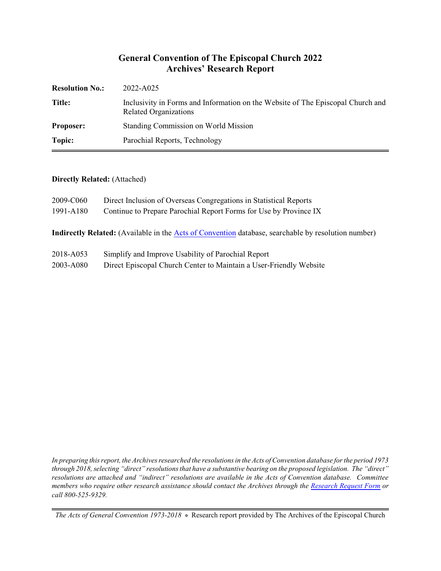## **General Convention of The Episcopal Church 2022 Archives' Research Report**

| <b>Resolution No.:</b> | 2022-A025                                                                                                       |
|------------------------|-----------------------------------------------------------------------------------------------------------------|
| <b>Title:</b>          | Inclusivity in Forms and Information on the Website of The Episcopal Church and<br><b>Related Organizations</b> |
| <b>Proposer:</b>       | Standing Commission on World Mission                                                                            |
| Topic:                 | Parochial Reports, Technology                                                                                   |

#### **Directly Related:** (Attached)

| 2009-C060                                                                                                  | Direct Inclusion of Overseas Congregations in Statistical Reports |  |
|------------------------------------------------------------------------------------------------------------|-------------------------------------------------------------------|--|
| 1991-A180                                                                                                  | Continue to Prepare Parochial Report Forms for Use by Province IX |  |
| <b>Indirectly Related:</b> (Available in the Acts of Convention database, searchable by resolution number) |                                                                   |  |

- 2018-A053 Simplify and Improve Usability of Parochial Report
- 2003-A080 Direct Episcopal Church Center to Maintain a User-Friendly Website

*In preparing this report, the Archives researched the resolutions in the Acts of Convention database for the period 1973 through 2018, selecting "direct" resolutions that have a substantive bearing on the proposed legislation. The "direct" resolutions are attached and "indirect" resolutions are available in the Acts of Convention database. Committee members who require other research assistance should contact the Archives through the Research [Request Form](https://www.episcopalarchives.org/contact/research-request-form) or call 800-525-9329.*

*The Acts of General Convention 1973-2018*  $*$  Research report provided by The Archives of the Episcopal Church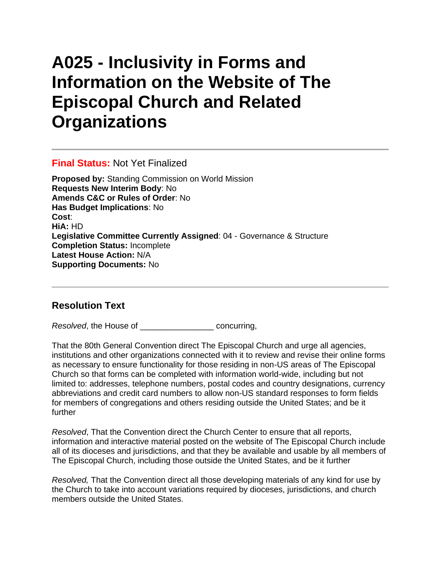# **A025 - Inclusivity in Forms and Information on the Website of The Episcopal Church and Related Organizations**

### **Final Status:** Not Yet Finalized

**Proposed by:** Standing Commission on World Mission **Requests New Interim Body**: No **Amends C&C or Rules of Order**: No **Has Budget Implications**: No **Cost**: **HiA:** HD **Legislative Committee Currently Assigned**: 04 - Governance & Structure **Completion Status:** Incomplete **Latest House Action:** N/A **Supporting Documents:** No

## **Resolution Text**

*Resolved*, the House of \_\_\_\_\_\_\_\_\_\_\_\_\_\_\_\_ concurring,

That the 80th General Convention direct The Episcopal Church and urge all agencies, institutions and other organizations connected with it to review and revise their online forms as necessary to ensure functionality for those residing in non-US areas of The Episcopal Church so that forms can be completed with information world-wide, including but not limited to: addresses, telephone numbers, postal codes and country designations, currency abbreviations and credit card numbers to allow non-US standard responses to form fields for members of congregations and others residing outside the United States; and be it further

*Resolved*, That the Convention direct the Church Center to ensure that all reports, information and interactive material posted on the website of The Episcopal Church include all of its dioceses and jurisdictions, and that they be available and usable by all members of The Episcopal Church, including those outside the United States, and be it further

*Resolved,* That the Convention direct all those developing materials of any kind for use by the Church to take into account variations required by dioceses, jurisdictions, and church members outside the United States.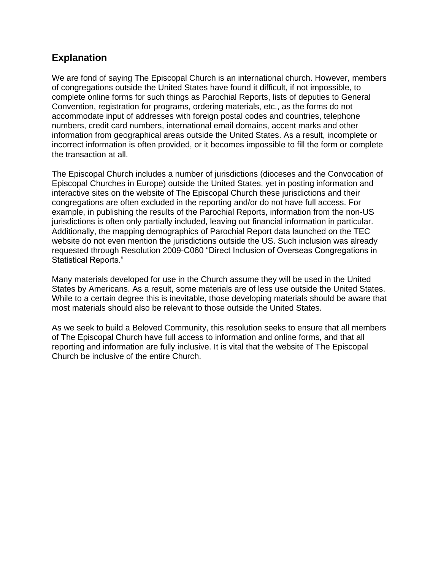## **Explanation**

We are fond of saying The Episcopal Church is an international church. However, members of congregations outside the United States have found it difficult, if not impossible, to complete online forms for such things as Parochial Reports, lists of deputies to General Convention, registration for programs, ordering materials, etc., as the forms do not accommodate input of addresses with foreign postal codes and countries, telephone numbers, credit card numbers, international email domains, accent marks and other information from geographical areas outside the United States. As a result, incomplete or incorrect information is often provided, or it becomes impossible to fill the form or complete the transaction at all.

The Episcopal Church includes a number of jurisdictions (dioceses and the Convocation of Episcopal Churches in Europe) outside the United States, yet in posting information and interactive sites on the website of The Episcopal Church these jurisdictions and their congregations are often excluded in the reporting and/or do not have full access. For example, in publishing the results of the Parochial Reports, information from the non-US jurisdictions is often only partially included, leaving out financial information in particular. Additionally, the mapping demographics of Parochial Report data launched on the TEC website do not even mention the jurisdictions outside the US. Such inclusion was already requested through Resolution 2009-C060 "Direct Inclusion of Overseas Congregations in Statistical Reports."

Many materials developed for use in the Church assume they will be used in the United States by Americans. As a result, some materials are of less use outside the United States. While to a certain degree this is inevitable, those developing materials should be aware that most materials should also be relevant to those outside the United States.

As we seek to build a Beloved Community, this resolution seeks to ensure that all members of The Episcopal Church have full access to information and online forms, and that all reporting and information are fully inclusive. It is vital that the website of The Episcopal Church be inclusive of the entire Church.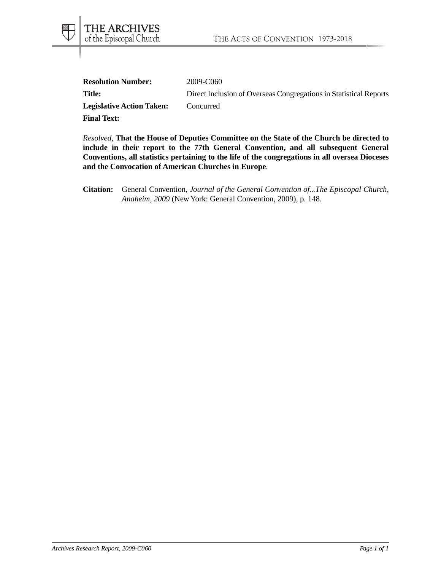| <b>Resolution Number:</b>        | 2009-C060                                                         |
|----------------------------------|-------------------------------------------------------------------|
| <b>Title:</b>                    | Direct Inclusion of Overseas Congregations in Statistical Reports |
| <b>Legislative Action Taken:</b> | Concurred                                                         |
| <b>Final Text:</b>               |                                                                   |

*Resolved*, **That the House of Deputies Committee on the State of the Church be directed to include in their report to the 77th General Convention, and all subsequent General Conventions, all statistics pertaining to the life of the congregations in all oversea Dioceses and the Convocation of American Churches in Europe**.

**Citation:** General Convention, *Journal of the General Convention of...The Episcopal Church, Anaheim, 2009* (New York: General Convention, 2009), p. 148.